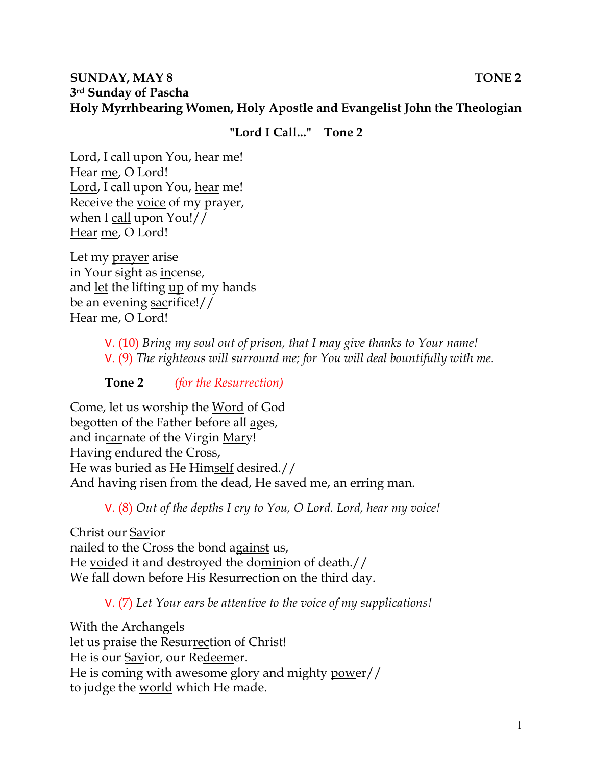#### **SUNDAY, MAY 8** TONE 2 **3rd Sunday of Pascha Holy Myrrhbearing Women, Holy Apostle and Evangelist John the Theologian**

## **"Lord I Call..." Tone 2**

Lord, I call upon You, hear me! Hear me, O Lord! Lord, I call upon You, hear me! Receive the voice of my prayer, when I call upon You!// Hear me, O Lord!

Let my prayer arise in Your sight as incense, and let the lifting up of my hands be an evening sacrifice!// Hear me, O Lord!

> V. (10) *Bring my soul out of prison, that I may give thanks to Your name!*  V. (9) *The righteous will surround me; for You will deal bountifully with me.*

**Tone 2** *(for the Resurrection)* 

Come, let us worship the Word of God begotten of the Father before all ages, and incarnate of the Virgin Mary! Having endured the Cross, He was buried as He Himself desired.// And having risen from the dead, He saved me, an erring man.

V. (8) *Out of the depths I cry to You, O Lord. Lord, hear my voice!* 

Christ our Savior nailed to the Cross the bond against us, He voided it and destroyed the dominion of death.// We fall down before His Resurrection on the third day.

V. (7) *Let Your ears be attentive to the voice of my supplications!*

With the Archangels let us praise the Resurrection of Christ! He is our Savior, our Redeemer. He is coming with awesome glory and mighty power// to judge the world which He made.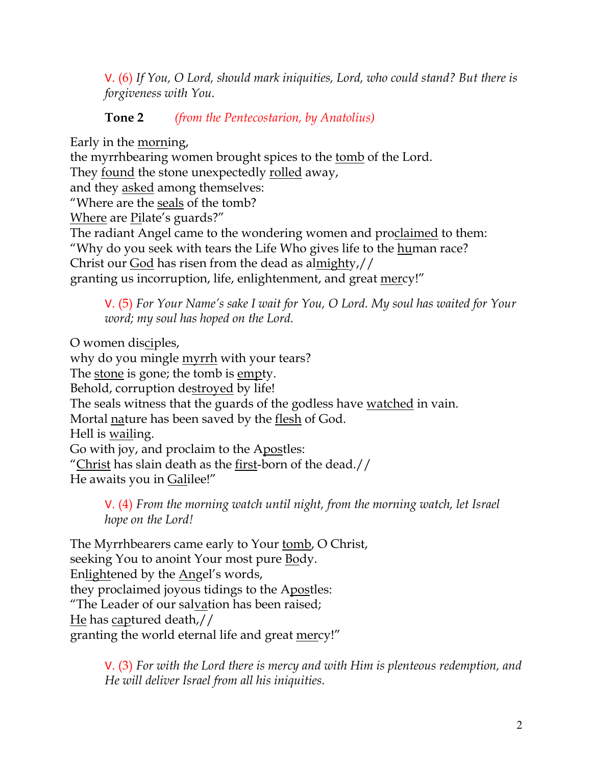V. (6) *If You, O Lord, should mark iniquities, Lord, who could stand? But there is forgiveness with You.* 

# **Tone 2** *(from the Pentecostarion, by Anatolius)*

Early in the morning,

the myrrhbearing women brought spices to the tomb of the Lord. They <u>found</u> the stone unexpectedly rolled away, and they asked among themselves: "Where are the seals of the tomb? Where are Pilate's guards?" The radiant Angel came to the wondering women and proclaimed to them: "Why do you seek with tears the Life Who gives life to the <u>hu</u>man race? Christ our God has risen from the dead as almighty,// granting us incorruption, life, enlightenment, and great mercy!"

V. (5) *For Your Name's sake I wait for You, O Lord. My soul has waited for Your word; my soul has hoped on the Lord.* 

O women disciples,

why do you mingle <u>myrrh</u> with your tears? The stone is gone; the tomb is empty. Behold, corruption destroyed by life! The seals witness that the guards of the godless have watched in vain. Mortal nature has been saved by the <u>flesh</u> of God. Hell is wailing. Go with joy, and proclaim to the Apostles: "Christ has slain death as the first-born of the dead.// He awaits you in Galilee!"

V. (4) *From the morning watch until night, from the morning watch, let Israel hope on the Lord!* 

The Myrrhbearers came early to Your <u>tomb</u>, O Christ, seeking You to anoint Your most pure Body. Enlightened by the Angel's words, they proclaimed joyous tidings to the Apostles: "The Leader of our salvation has been raised; He has captured death,// granting the world eternal life and great mercy!"

> V. (3) *For with the Lord there is mercy and with Him is plenteous redemption, and He will deliver Israel from all his iniquities.*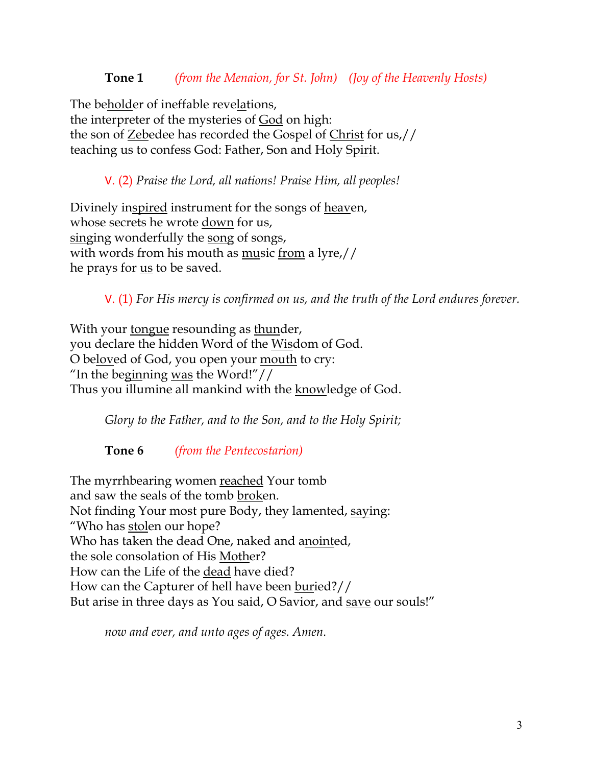#### **Tone 1** *(from the Menaion, for St. John) (Joy of the Heavenly Hosts)*

The beholder of ineffable revelations, the interpreter of the mysteries of God on high: the son of Zebedee has recorded the Gospel of Christ for us,// teaching us to confess God: Father, Son and Holy Spirit.

V. (2) *Praise the Lord, all nations! Praise Him, all peoples!*

Divinely inspired instrument for the songs of heaven, whose secrets he wrote down for us, singing wonderfully the song of songs, with words from his mouth as music from a lyre,// he prays for us to be saved.

V. (1) *For His mercy is confirmed on us, and the truth of the Lord endures forever.* 

With your tongue resounding as thunder, you declare the hidden Word of the Wisdom of God. O beloved of God, you open your mouth to cry: "In the beginning was the Word!"// Thus you illumine all mankind with the knowledge of God.

*Glory to the Father, and to the Son, and to the Holy Spirit;*

**Tone 6** *(from the Pentecostarion)*

The myrrhbearing women reached Your tomb and saw the seals of the tomb broken. Not finding Your most pure Body, they lamented, saying: "Who has stolen our hope? Who has taken the dead One, naked and anointed, the sole consolation of His Mother? How can the Life of the dead have died? How can the Capturer of hell have been buried?// But arise in three days as You said, O Savior, and save our souls!"

*now and ever, and unto ages of ages. Amen.*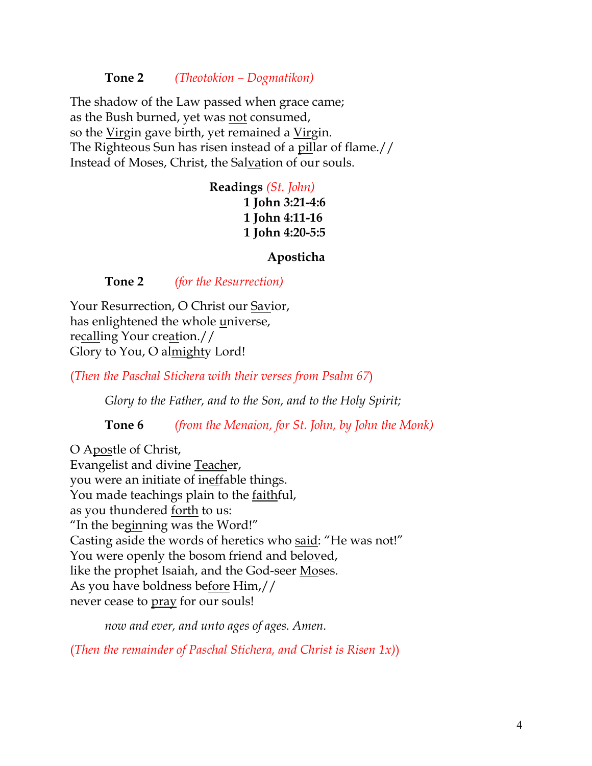**Tone 2** *(Theotokion – Dogmatikon)*

The shadow of the Law passed when grace came; as the Bush burned, yet was not consumed, so the Virgin gave birth, yet remained a Virgin. The Righteous Sun has risen instead of a pillar of flame.// Instead of Moses, Christ, the Salvation of our souls.

> **Readings** *(St. John)* **1 John 3:21-4:6 1 John 4:11-16 1 John 4:20-5:5**

> > **Aposticha**

**Tone 2** *(for the Resurrection)*

Your Resurrection, O Christ our Savior, has enlightened the whole universe, recalling Your creation.// Glory to You, O almighty Lord!

(*Then the Paschal Stichera with their verses from Psalm 67*)

*Glory to the Father, and to the Son, and to the Holy Spirit;*

**Tone 6** *(from the Menaion, for St. John, by John the Monk)*

O Apostle of Christ, Evangelist and divine Teacher, you were an initiate of ineffable things. You made teachings plain to the faithful, as you thundered forth to us: "In the beginning was the Word!" Casting aside the words of heretics who said: "He was not!" You were openly the bosom friend and beloved, like the prophet Isaiah, and the God-seer Moses. As you have boldness before Him,// never cease to pray for our souls!

*now and ever, and unto ages of ages. Amen.*

(*Then the remainder of Paschal Stichera, and Christ is Risen 1x)*)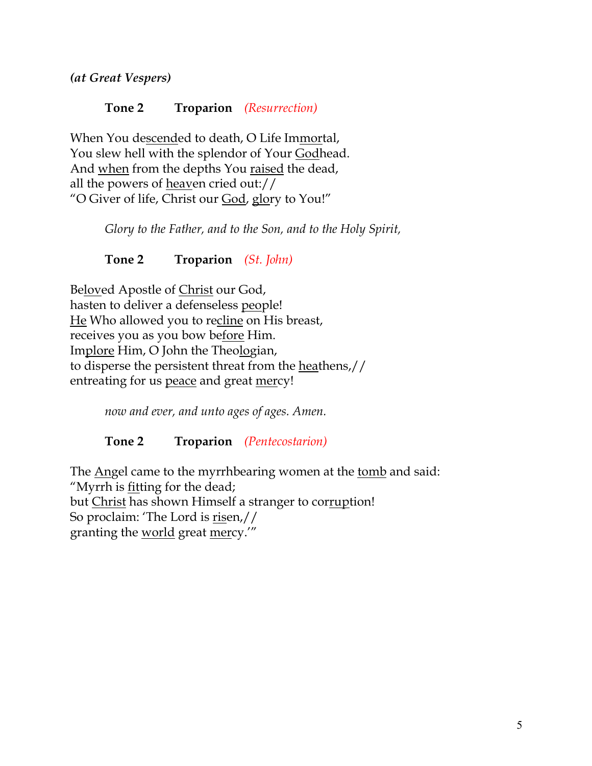*(at Great Vespers)*

## **Tone 2 Troparion** *(Resurrection)*

When You descended to death, O Life Immortal, You slew hell with the splendor of Your Godhead. And when from the depths You raised the dead, all the powers of heaven cried out:// "O Giver of life, Christ our God, glory to You!"

*Glory to the Father, and to the Son, and to the Holy Spirit,*

**Tone 2 Troparion** *(St. John)*

Beloved Apostle of Christ our God, hasten to deliver a defenseless people! He Who allowed you to recline on His breast, receives you as you bow before Him. Implore Him, O John the Theologian, to disperse the persistent threat from the heathens,// entreating for us peace and great mercy!

*now and ever, and unto ages of ages. Amen.*

## **Tone 2 Troparion** *(Pentecostarion)*

The <u>Ang</u>el came to the myrrhbearing women at the tomb and said: "Myrrh is **fitting** for the dead; but Christ has shown Himself a stranger to corruption! So proclaim: 'The Lord is risen,// granting the world great mercy.'"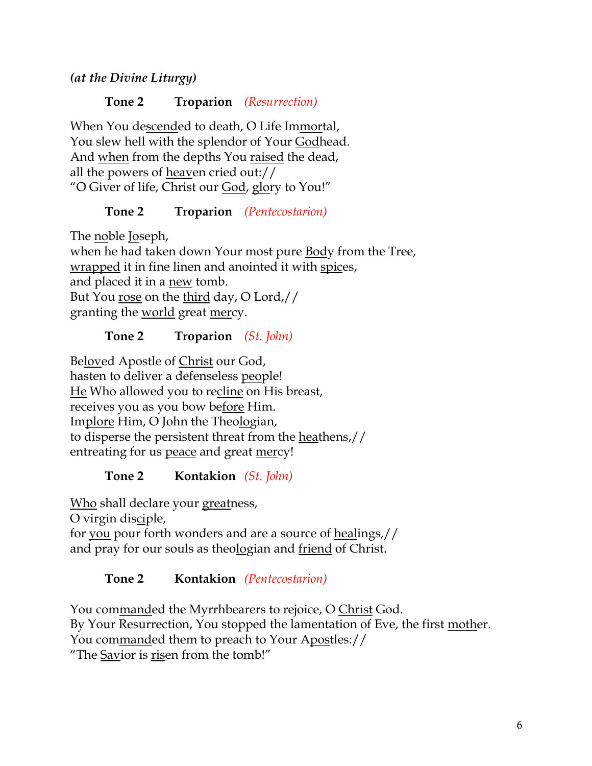# *(at the Divine Liturgy)*

#### **Tone 2 Troparion** *(Resurrection)*

When You descended to death, O Life Immortal, You slew hell with the splendor of Your Godhead. And when from the depths You raised the dead, all the powers of heaven cried out:// "O Giver of life, Christ our God, glory to You!"

## **Tone 2 Troparion** *(Pentecostarion)*

The noble Joseph, when he had taken down Your most pure Body from the Tree, wrapped it in fine linen and anointed it with spices, and placed it in a new tomb. But You rose on the third day, O Lord,// granting the world great mercy.

## **Tone 2 Troparion** *(St. John)*

Beloved Apostle of Christ our God, hasten to deliver a defenseless people! He Who allowed you to recline on His breast, receives you as you bow before Him. Implore Him, O John the Theologian, to disperse the persistent threat from the heathens,// entreating for us peace and great mercy!

## **Tone 2 Kontakion** *(St. John)*

Who shall declare your greatness,

O virgin disciple,

for you pour forth wonders and are a source of healings,// and pray for our souls as theologian and friend of Christ.

## **Tone 2 Kontakion** *(Pentecostarion)*

You commanded the Myrrhbearers to rejoice, O Christ God. By Your Resurrection, You stopped the lamentation of Eve, the first mother. You commanded them to preach to Your Apostles:// "The Savior is risen from the tomb!"